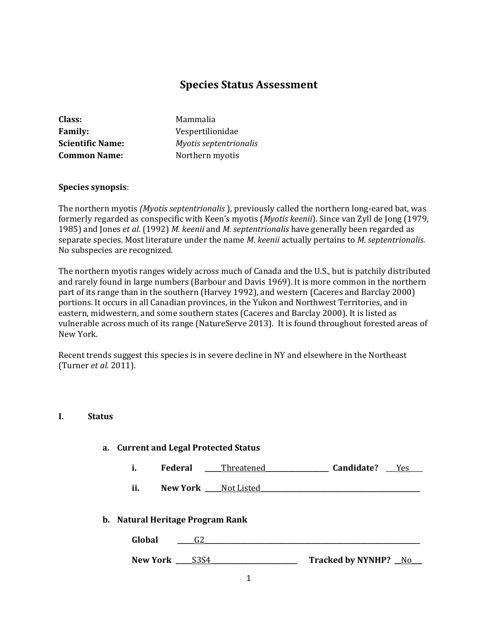# **Species Status Assessment**

| <b>Class:</b>           | Mammalia               |
|-------------------------|------------------------|
| <b>Family:</b>          | Vespertilionidae       |
| <b>Scientific Name:</b> | Myotis septentrionalis |
| <b>Common Name:</b>     | Northern myotis        |

#### **Species synopsis**:

The northern myotis *(Myotis septentrionalis* ), previously called the northern long-eared bat, was formerly regarded as conspecific with Keen's myotis (*Myotis keenii*). Since van Zyll de Jong (1979, 1985) and Jones *et al.* (1992) *M. keenii* and *M. septentrionalis* have generally been regarded as separate species. Most literature under the name *M. keenii* actually pertains to *M. septentrionalis*. No subspecies are recognized.

The northern myotis ranges widely across much of Canada and the U.S., but is patchily distributed and rarely found in large numbers (Barbour and Davis 1969). It is more common in the northern part of its range than in the southern (Harvey 1992), and western (Caceres and Barclay 2000) portions. It occurs in all Canadian provinces, in the Yukon and Northwest Territories, and in eastern, midwestern, and some southern states (Caceres and Barclay 2000). It is listed as vulnerable across much of its range (NatureServe 2013). It is found throughout forested areas of New York.

Recent trends suggest this species is in severe decline in NY and elsewhere in the Northeast (Turner *et al.* 2011).

#### **I. Status**

| a. Current and Legal Protected Status |                |                          |                      |     |
|---------------------------------------|----------------|--------------------------|----------------------|-----|
| i.                                    | Federal        | Threatened               | Candidate?           | Yes |
| ii.                                   |                | New York ____ Not Listed |                      |     |
| b. Natural Heritage Program Rank      |                |                          |                      |     |
| Global                                | G <sub>2</sub> |                          |                      |     |
|                                       | New York S3S4  |                          | Tracked by NYNHP? No |     |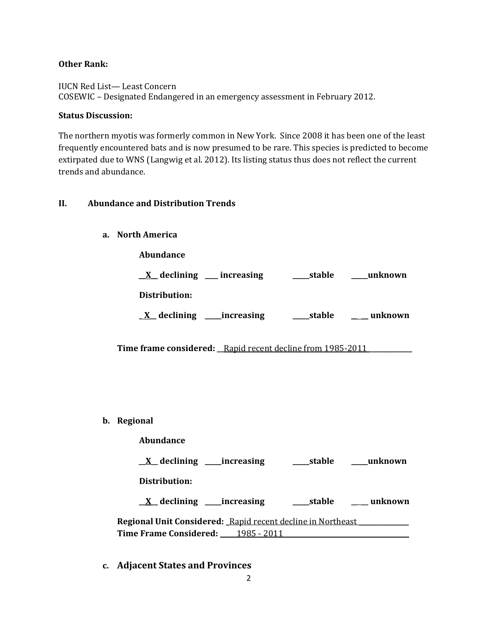### **Other Rank:**

IUCN Red List— Least Concern COSEWIC – Designated Endangered in an emergency assessment in February 2012.

### **Status Discussion:**

The northern myotis was formerly common in New York. Since 2008 it has been one of the least frequently encountered bats and is now presumed to be rare. This species is predicted to become extirpated due to WNS (Langwig et al. 2012). Its listing status thus does not reflect the current trends and abundance.

# **II. Abundance and Distribution Trends**

**a. North America**

**Abundance** \_\_**X**\_\_ **declining \_\_\_\_ increasing \_\_\_\_\_stable \_\_\_\_\_unknown Distribution: \_ X\_\_ declining \_\_\_\_\_increasing \_\_\_\_\_stable** \_\_ \_\_ **unknown**

**Time frame considered: \_\_**Rapid recent decline from 1985-2011 **\_\_\_\_\_\_\_\_\_\_\_\_\_**

**b. Regional** 

| Abundance                                                   |        |         |
|-------------------------------------------------------------|--------|---------|
| $\underline{X}$ declining _____ increasing                  | stable | unknown |
| Distribution:                                               |        |         |
| $X$ declining ______ increasing                             | stable | unknown |
| Regional Unit Considered: Rapid recent decline in Northeast |        |         |
| <b>Time Frame Considered:</b> 1985 - 2011                   |        |         |

**c. Adjacent States and Provinces**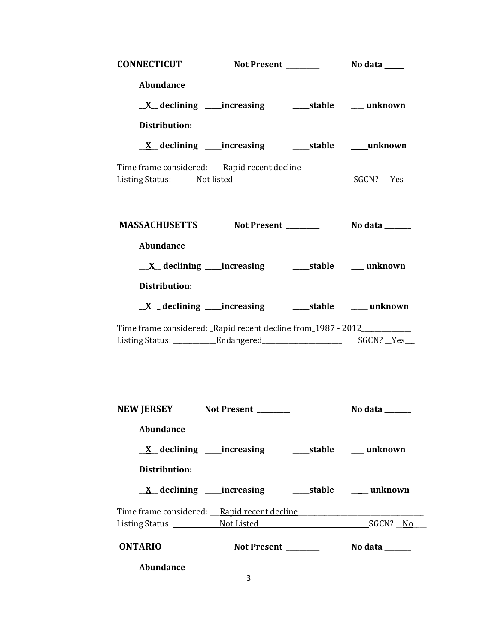| <b>CONNECTICUT</b>                                                                                     |                                                               |                |
|--------------------------------------------------------------------------------------------------------|---------------------------------------------------------------|----------------|
| <b>Abundance</b>                                                                                       |                                                               |                |
|                                                                                                        |                                                               |                |
| Distribution:                                                                                          |                                                               |                |
|                                                                                                        |                                                               |                |
|                                                                                                        |                                                               |                |
| Time frame considered: Rapid recent decline<br>Listing Status: Not listed Status: Not listed SGCN? Pes |                                                               |                |
|                                                                                                        |                                                               |                |
|                                                                                                        |                                                               |                |
| MASSACHUSETTS Not Present Modata Modata                                                                |                                                               |                |
| <b>Abundance</b>                                                                                       |                                                               |                |
|                                                                                                        |                                                               |                |
| Distribution:                                                                                          |                                                               |                |
|                                                                                                        |                                                               |                |
|                                                                                                        |                                                               |                |
| Time frame considered: Rapid recent decline from 1987 - 2012                                           |                                                               |                |
|                                                                                                        |                                                               |                |
|                                                                                                        |                                                               |                |
|                                                                                                        |                                                               |                |
|                                                                                                        |                                                               |                |
| NEW JERSEY Not Present _______                                                                         |                                                               | No data ______ |
| <b>Abundance</b>                                                                                       |                                                               |                |
|                                                                                                        |                                                               |                |
| Distribution:                                                                                          |                                                               |                |
|                                                                                                        | <u>X</u> declining ____increasing ______stable ______ unknown |                |
|                                                                                                        |                                                               |                |
| Time frame considered: Rapid recent decline<br>Listing Status: Not Listed Motel SGCN? No               |                                                               |                |
|                                                                                                        |                                                               |                |
| <b>ONTARIO</b>                                                                                         |                                                               |                |
| Abundance                                                                                              |                                                               |                |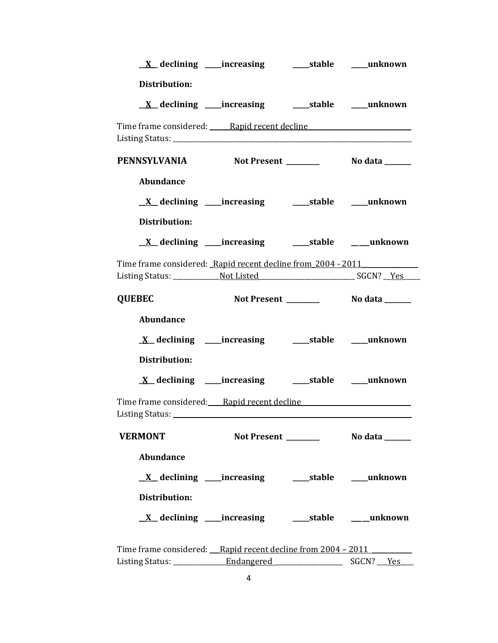|                  | <u>X</u> declining ____increasing _______stable _____unknown            |  |
|------------------|-------------------------------------------------------------------------|--|
| Distribution:    |                                                                         |  |
|                  | $\underline{X}$ declining ____increasing __________stable ______unknown |  |
|                  | Time frame considered: Rapid recent decline                             |  |
|                  |                                                                         |  |
|                  | PENNSYLVANIA Not Present _________ No data _____                        |  |
| <b>Abundance</b> |                                                                         |  |
|                  | <u>X</u> declining ____increasing _______stable _____unknown            |  |
| Distribution:    |                                                                         |  |
|                  | <u>X</u> declining ____increasing ______stable ____unknown              |  |
|                  | Time frame considered: Rapid recent decline from 2004 - 2011            |  |
|                  |                                                                         |  |
| <b>QUEBEC</b>    |                                                                         |  |
| <b>Abundance</b> |                                                                         |  |
|                  | <u>X</u> declining ____increasing ______stable ____unknown              |  |
| Distribution:    |                                                                         |  |
|                  | <u>X</u> declining ____increasing _____stable ____unknown               |  |
|                  |                                                                         |  |
|                  |                                                                         |  |
| <b>VERMONT</b>   |                                                                         |  |
| <b>Abundance</b> |                                                                         |  |
|                  | <u>X</u> declining ____increasing ______stable _____unknown             |  |
| Distribution:    |                                                                         |  |
|                  | <u>X</u> declining ____increasing ______stable _____unknown             |  |
|                  | Time frame considered: Rapid recent decline from 2004 - 2011            |  |
|                  |                                                                         |  |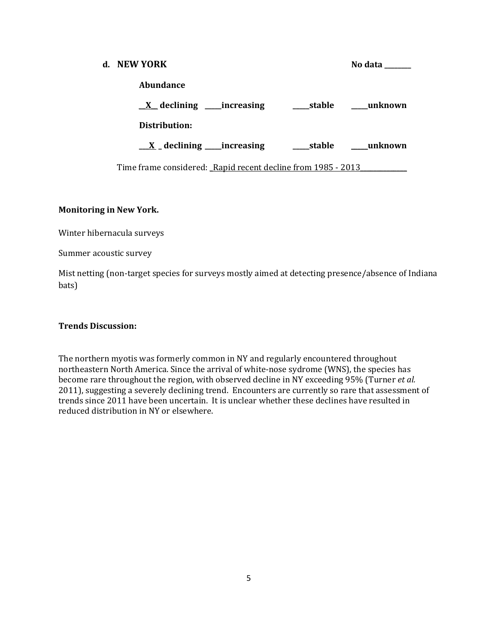| d. NEW YORK                                                  |            | No data |
|--------------------------------------------------------------|------------|---------|
| Abundance                                                    |            |         |
| $X$ declining ______ increasing                              | stable     | unknown |
| Distribution:                                                |            |         |
| $\underline{\mathbf{X}}$ declining ____increasing            | ____stable | unknown |
| Time frame considered: Rapid recent decline from 1985 - 2013 |            |         |

### **Monitoring in New York.**

Winter hibernacula surveys

Summer acoustic survey

Mist netting (non-target species for surveys mostly aimed at detecting presence/absence of Indiana bats)

#### **Trends Discussion:**

The northern myotis was formerly common in NY and regularly encountered throughout northeastern North America. Since the arrival of white-nose sydrome (WNS), the species has become rare throughout the region, with observed decline in NY exceeding 95% (Turner *et al.* 2011), suggesting a severely declining trend. Encounters are currently so rare that assessment of trends since 2011 have been uncertain. It is unclear whether these declines have resulted in reduced distribution in NY or elsewhere.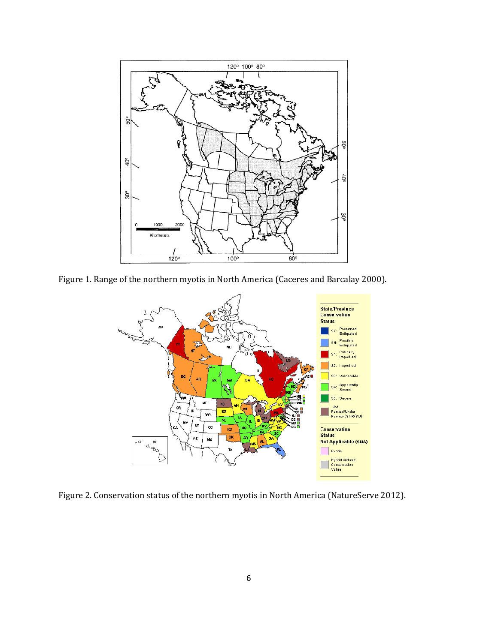

Figure 1. Range of the northern myotis in North America (Caceres and Barcalay 2000).



Figure 2. Conservation status of the northern myotis in North America (NatureServe 2012).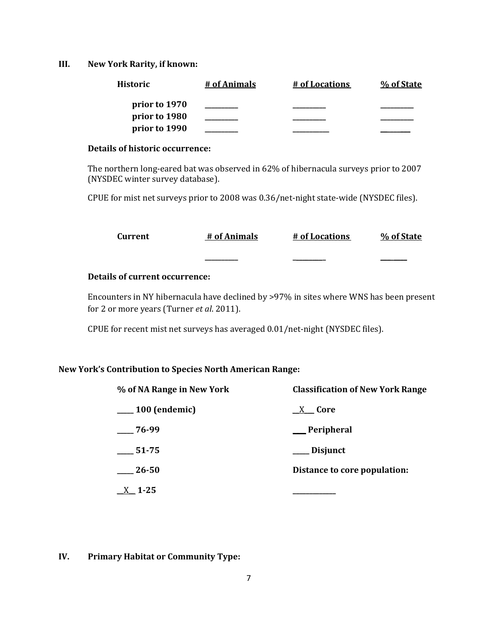#### **III. New York Rarity, if known:**

| Historic      | # of Animals | # of Locations | % of State |
|---------------|--------------|----------------|------------|
| prior to 1970 |              |                |            |
| prior to 1980 |              |                |            |
| prior to 1990 |              |                |            |

### **Details of historic occurrence:**

The northern long-eared bat was observed in 62% of hibernacula surveys prior to 2007 (NYSDEC winter survey database).

CPUE for mist net surveys prior to 2008 was 0.36/net-night state-wide (NYSDEC files).

| Current                        | # of Animals | # of Locations | % of State |
|--------------------------------|--------------|----------------|------------|
|                                |              |                |            |
| Details of current occurrence: |              |                |            |

Encounters in NY hibernacula have declined by >97% in sites where WNS has been present for 2 or more years (Turner *et al*. 2011).

CPUE for recent mist net surveys has averaged 0.01/net-night (NYSDEC files).

#### **New York's Contribution to Species North American Range:**

| % of NA Range in New York | <b>Classification of New York Range</b> |  |  |
|---------------------------|-----------------------------------------|--|--|
| $\frac{100}{2}$ (endemic) | X <b>Core</b>                           |  |  |
| $-76-99$                  | __Peripheral                            |  |  |
| 51-75                     | ___ Disjunct                            |  |  |
| 26-50                     | Distance to core population:            |  |  |
| $-1 - 25$                 |                                         |  |  |

### **IV. Primary Habitat or Community Type:**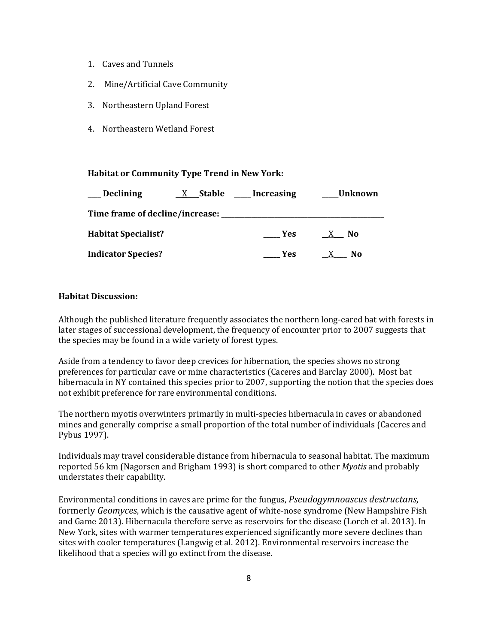- 1. Caves and Tunnels
- 2. Mine/Artificial Cave Community
- 3. Northeastern Upland Forest
- 4. Northeastern Wetland Forest

#### **Habitat or Community Type Trend in New York:**

| Declining                  | X Stable Increasing                            |            | Unknown |
|----------------------------|------------------------------------------------|------------|---------|
|                            | Time frame of decline/increase: ______________ |            |         |
| <b>Habitat Specialist?</b> |                                                | <b>Yes</b> | - No    |
| <b>Indicator Species?</b>  |                                                | Yes.       | N0      |

#### **Habitat Discussion:**

Although the published literature frequently associates the northern long-eared bat with forests in later stages of successional development, the frequency of encounter prior to 2007 suggests that the species may be found in a wide variety of forest types.

Aside from a tendency to favor deep crevices for hibernation, the species shows no strong preferences for particular cave or mine characteristics (Caceres and Barclay 2000). Most bat hibernacula in NY contained this species prior to 2007, supporting the notion that the species does not exhibit preference for rare environmental conditions.

The northern myotis overwinters primarily in multi-species hibernacula in caves or abandoned mines and generally comprise a small proportion of the total number of individuals (Caceres and Pybus 1997).

Individuals may travel considerable distance from hibernacula to seasonal habitat. The maximum reported 56 km (Nagorsen and Brigham 1993) is short compared to other *Myotis* and probably understates their capability.

Environmental conditions in caves are prime for the fungus, *Pseudogymnoascus destructans*, formerly *Geomyces*, which is the causative agent of white-nose syndrome (New Hampshire Fish and Game 2013). Hibernacula therefore serve as reservoirs for the disease (Lorch et al. 2013). In New York, sites with warmer temperatures experienced significantly more severe declines than sites with cooler temperatures (Langwig et al. 2012). Environmental reservoirs increase the likelihood that a species will go extinct from the disease.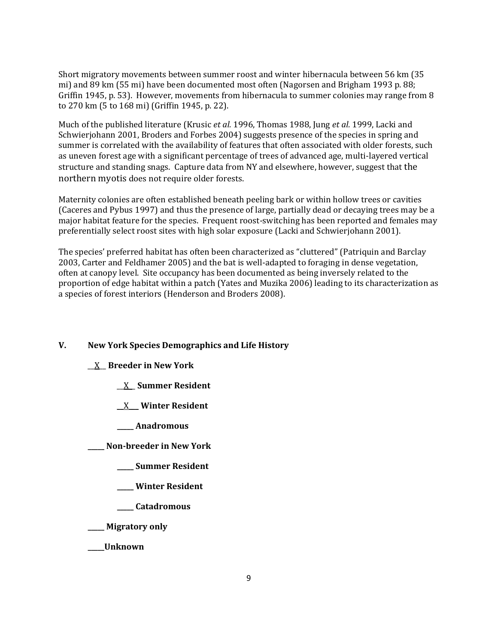Short migratory movements between summer roost and winter hibernacula between 56 km (35 mi) and 89 km (55 mi) have been documented most often (Nagorsen and Brigham 1993 p. 88; Griffin 1945, p. 53). However, movements from hibernacula to summer colonies may range from 8 to 270 km (5 to 168 mi) (Griffin 1945, p. 22).

Much of the published literature (Krusic *et al.* 1996, Thomas 1988, Jung *et al.* 1999, Lacki and Schwierjohann 2001, Broders and Forbes 2004) suggests presence of the species in spring and summer is correlated with the availability of features that often associated with older forests, such as uneven forest age with a significant percentage of trees of advanced age, multi-layered vertical structure and standing snags. Capture data from NY and elsewhere, however, suggest that the northern myotis does not require older forests.

Maternity colonies are often established beneath peeling bark or within hollow trees or cavities (Caceres and Pybus 1997) and thus the presence of large, partially dead or decaying trees may be a major habitat feature for the species. Frequent roost-switching has been reported and females may preferentially select roost sites with high solar exposure (Lacki and Schwierjohann 2001).

The species' preferred habitat has often been characterized as "cluttered" (Patriquin and Barclay 2003, Carter and Feldhamer 2005) and the bat is well-adapted to foraging in dense vegetation, often at canopy level. Site occupancy has been documented as being inversely related to the proportion of edge habitat within a patch (Yates and Muzika 2006) leading to its characterization as a species of forest interiors (Henderson and Broders 2008).

#### **V. New York Species Demographics and Life History**

#### \_\_X\_\_ **Breeder in New York**

- \_\_X\_\_ **Summer Resident**
- \_\_X\_\_\_ **Winter Resident**
- **\_\_\_\_\_ Anadromous**

**\_\_\_\_\_ Non-breeder in New York**

- **\_\_\_\_\_ Summer Resident**
- **\_\_\_\_\_ Winter Resident**
- **\_\_\_\_\_ Catadromous**
- **\_\_\_\_\_ Migratory only**
- **\_\_\_\_\_Unknown**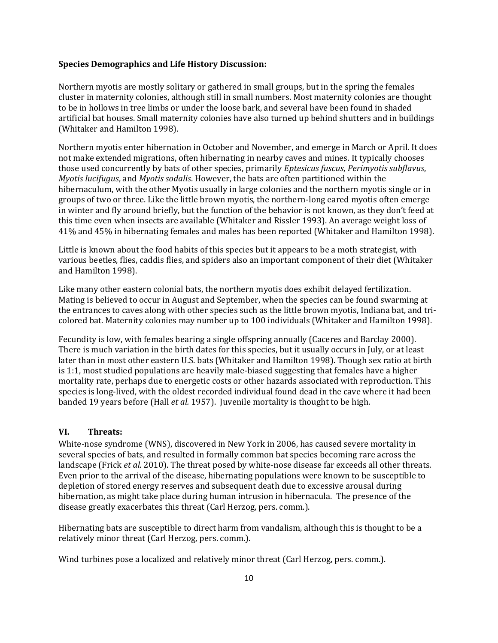#### **Species Demographics and Life History Discussion:**

Northern myotis are mostly solitary or gathered in small groups, but in the spring the females cluster in maternity colonies, although still in small numbers. Most maternity colonies are thought to be in hollows in tree limbs or under the loose bark, and several have been found in shaded artificial bat houses. Small maternity colonies have also turned up behind shutters and in buildings (Whitaker and Hamilton 1998).

Northern myotis enter hibernation in October and November, and emerge in March or April. It does not make extended migrations, often hibernating in nearby caves and mines. It typically chooses those used concurrently by bats of other species, primarily *Eptesicus fuscus*, *Perimyotis subflavus*, *Myotis lucifugus*, and *Myotis sodalis*. However, the bats are often partitioned within the hibernaculum, with the other Myotis usually in large colonies and the northern myotis single or in groups of two or three. Like the little brown myotis, the northern-long eared myotis often emerge in winter and fly around briefly, but the function of the behavior is not known, as they don't feed at this time even when insects are available (Whitaker and Rissler 1993). An average weight loss of 41% and 45% in hibernating females and males has been reported (Whitaker and Hamilton 1998).

Little is known about the food habits of this species but it appears to be a moth strategist, with various beetles, flies, caddis flies, and spiders also an important component of their diet (Whitaker and Hamilton 1998).

Like many other eastern colonial bats, the northern myotis does exhibit delayed fertilization. Mating is believed to occur in August and September, when the species can be found swarming at the entrances to caves along with other species such as the little brown myotis, Indiana bat, and tricolored bat. Maternity colonies may number up to 100 individuals (Whitaker and Hamilton 1998).

Fecundity is low, with females bearing a single offspring annually (Caceres and Barclay 2000). There is much variation in the birth dates for this species, but it usually occurs in July, or at least later than in most other eastern U.S. bats (Whitaker and Hamilton 1998). Though sex ratio at birth is 1:1, most studied populations are heavily male-biased suggesting that females have a higher mortality rate, perhaps due to energetic costs or other hazards associated with reproduction. This species is long-lived, with the oldest recorded individual found dead in the cave where it had been banded 19 years before (Hall *et al.* 1957). Juvenile mortality is thought to be high.

#### **VI. Threats:**

White-nose syndrome (WNS), discovered in New York in 2006, has caused severe mortality in several species of bats, and resulted in formally common bat species becoming rare across the landscape (Frick *et al.* 2010). The threat posed by white-nose disease far exceeds all other threats. Even prior to the arrival of the disease, hibernating populations were known to be susceptible to depletion of stored energy reserves and subsequent death due to excessive arousal during hibernation, as might take place during human intrusion in hibernacula. The presence of the disease greatly exacerbates this threat (Carl Herzog, pers. comm.).

Hibernating bats are susceptible to direct harm from vandalism, although this is thought to be a relatively minor threat (Carl Herzog, pers. comm.).

Wind turbines pose a localized and relatively minor threat (Carl Herzog, pers. comm.).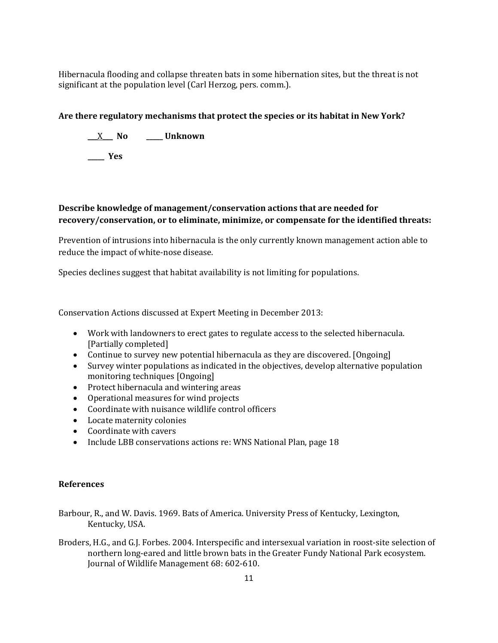Hibernacula flooding and collapse threaten bats in some hibernation sites, but the threat is not significant at the population level (Carl Herzog, pers. comm.).

# **Are there regulatory mechanisms that protect the species or its habitat in New York?**

\_\_\_X\_\_\_ **No \_\_\_\_\_ Unknown**

**\_\_\_\_\_ Yes** 

# **Describe knowledge of management/conservation actions that are needed for recovery/conservation, or to eliminate, minimize, or compensate for the identified threats:**

Prevention of intrusions into hibernacula is the only currently known management action able to reduce the impact of white-nose disease.

Species declines suggest that habitat availability is not limiting for populations.

Conservation Actions discussed at Expert Meeting in December 2013:

- Work with landowners to erect gates to regulate access to the selected hibernacula. [Partially completed]
- Continue to survey new potential hibernacula as they are discovered. [Ongoing]
- Survey winter populations as indicated in the objectives, develop alternative population monitoring techniques [Ongoing]
- Protect hibernacula and wintering areas
- Operational measures for wind projects
- Coordinate with nuisance wildlife control officers
- Locate maternity colonies
- Coordinate with cavers
- Include LBB conservations actions re: WNS National Plan, page 18

#### **References**

- Barbour, R., and W. Davis. 1969. Bats of America. University Press of Kentucky, Lexington, Kentucky, USA.
- Broders, H.G., and G.J. Forbes. 2004. Interspecific and intersexual variation in roost-site selection of northern long-eared and little brown bats in the Greater Fundy National Park ecosystem. Journal of Wildlife Management 68: 602-610.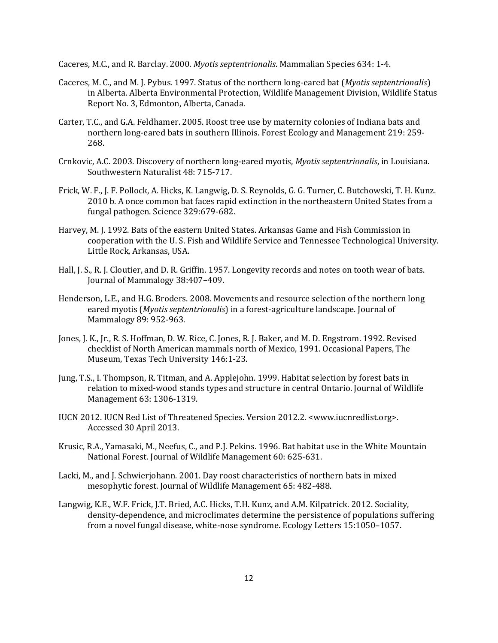Caceres, M.C., and R. Barclay. 2000. *Myotis septentrionalis*. Mammalian Species 634: 1-4.

- Caceres, M. C., and M. J. Pybus. 1997. Status of the northern long-eared bat (*Myotis septentrionalis*) in Alberta. Alberta Environmental Protection, Wildlife Management Division, Wildlife Status Report No. 3, Edmonton, Alberta, Canada.
- Carter, T.C., and G.A. Feldhamer. 2005. Roost tree use by maternity colonies of Indiana bats and northern long-eared bats in southern Illinois. Forest Ecology and Management 219: 259- 268.
- Crnkovic, A.C. 2003. Discovery of northern long-eared myotis, *Myotis septentrionalis*, in Louisiana. Southwestern Naturalist 48: 715-717.
- Frick, W. F., J. F. Pollock, A. Hicks, K. Langwig, D. S. Reynolds, G. G. Turner, C. Butchowski, T. H. Kunz. 2010 b. A once common bat faces rapid extinction in the northeastern United States from a fungal pathogen. Science 329:679-682.
- Harvey, M. J. 1992. Bats of the eastern United States. Arkansas Game and Fish Commission in cooperation with the U. S. Fish and Wildlife Service and Tennessee Technological University. Little Rock, Arkansas, USA.
- Hall, J. S., R. J. Cloutier, and D. R. Griffin. 1957. Longevity records and notes on tooth wear of bats. Journal of Mammalogy 38:407–409.
- Henderson, L.E., and H.G. Broders. 2008. Movements and resource selection of the northern long eared myotis (*Myotis septentrionalis*) in a forest-agriculture landscape. Journal of Mammalogy 89: 952-963.
- Jones, J. K., Jr., R. S. Hoffman, D. W. Rice, C. Jones, R. J. Baker, and M. D. Engstrom. 1992. Revised checklist of North American mammals north of Mexico, 1991. Occasional Papers, The Museum, Texas Tech University 146:1-23.
- Jung, T.S., I. Thompson, R. Titman, and A. Applejohn. 1999. Habitat selection by forest bats in relation to mixed-wood stands types and structure in central Ontario. Journal of Wildlife Management 63: 1306-1319.
- IUCN 2012. IUCN Red List of Threatened Species. Version 2012.2. <www.iucnredlist.org>. Accessed 30 April 2013.
- Krusic, R.A., Yamasaki, M., Neefus, C., and P.J. Pekins. 1996. Bat habitat use in the White Mountain National Forest. Journal of Wildlife Management 60: 625-631.
- Lacki, M., and J. Schwierjohann. 2001. Day roost characteristics of northern bats in mixed mesophytic forest. Journal of Wildlife Management 65: 482-488.
- Langwig, K.E., W.F. Frick, J.T. Bried, A.C. Hicks, T.H. Kunz, and A.M. Kilpatrick. 2012. Sociality, density-dependence, and microclimates determine the persistence of populations suffering from a novel fungal disease, white-nose syndrome. Ecology Letters 15:1050–1057.